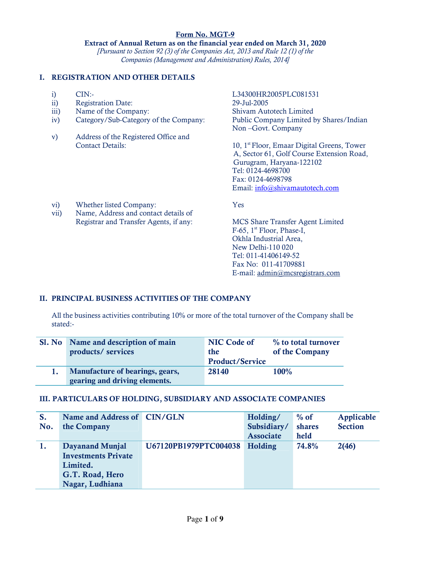### Form No. MGT-9 Extract of Annual Return as on the financial year ended on March 31, 2020 [Pursuant to Section 92 (3) of the Companies Act, 2013 and Rule 12 (1) of the Companies (Management and Administration) Rules, 2014]

## I. REGISTRATION AND OTHER DETAILS

- 
- Registration Date: 29-Jul-2005
- 
- iv) Category/Sub-Category of the Company:
- v) Address of the Registered Office and

vii) Name, Address and contact details of

i) CIN:-<br>
ii) Registration Date: 19-Jul-2005 29-Jul-2005 iii) Name of the Company: Shivam Autotech Limited<br>
iv) Category/Sub-Category of the Company: Public Company Limited by Shares/Indian Non –Govt. Company

Contact Details: 10, 1st Floor, Emaar Digital Greens, Tower A, Sector 61, Golf Course Extension Road, Gurugram, Haryana-122102 Tel: 0124-4698700 Fax: 0124-4698798 Email: info@shivamautotech.com

vi) Whether listed Company: Yes

Registrar and Transfer Agents, if any: MCS Share Transfer Agent Limited F-65, 1<sup>st</sup> Floor, Phase-I, Okhla Industrial Area, New Delhi-110 020 Tel: 011-41406149-52 Fax No: 011-41709881 E-mail: admin@mcsregistrars.com

# II. PRINCIPAL BUSINESS ACTIVITIES OF THE COMPANY

All the business activities contributing 10% or more of the total turnover of the Company shall be stated:-

| Sl. No Name and description of main<br>products/ services               | NIC Code of<br>the<br><b>Product/Service</b> | % to total turnover<br>of the Company |
|-------------------------------------------------------------------------|----------------------------------------------|---------------------------------------|
| <b>Manufacture of bearings, gears,</b><br>gearing and driving elements. | 28140                                        | 100%                                  |

#### III. PARTICULARS OF HOLDING, SUBSIDIARY AND ASSOCIATE COMPANIES

| S.  | Name and Address of CIN/GLN |                       | Holding/         | $%$ of | Applicable     |
|-----|-----------------------------|-----------------------|------------------|--------|----------------|
| No. | the Company                 |                       | Subsidiary/      | shares | <b>Section</b> |
|     |                             |                       | <b>Associate</b> | held   |                |
|     | Dayanand Munjal             | U67120PB1979PTC004038 | <b>Holding</b>   | 74.8%  | 2(46)          |
|     | <b>Investments Private</b>  |                       |                  |        |                |
|     | Limited.                    |                       |                  |        |                |
|     | G.T. Road, Hero             |                       |                  |        |                |
|     | Nagar, Ludhiana             |                       |                  |        |                |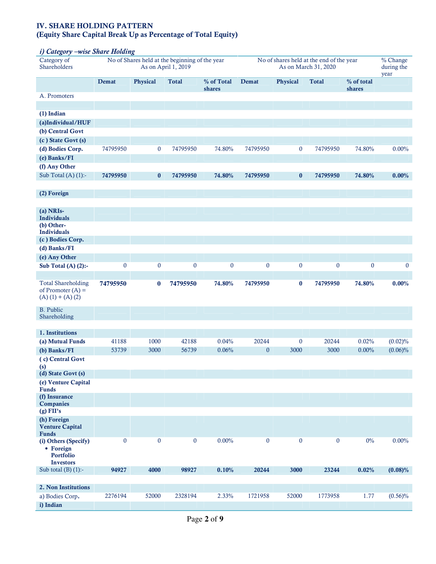### IV. SHARE HOLDING PATTERN (Equity Share Capital Break Up as Percentage of Total Equity)

## i) Category –wise Share Holding

| $\overline{\phantom{a}}$<br>Category of<br>Shareholders                   | $\frac{1}{2}$ | No of Shares held at the beginning of the year | As on April 1, 2019 |                      |                  |                  | No of shares held at the end of the year<br>As on March 31, 2020 |                      | $% Change$<br>during the |
|---------------------------------------------------------------------------|---------------|------------------------------------------------|---------------------|----------------------|------------------|------------------|------------------------------------------------------------------|----------------------|--------------------------|
|                                                                           |               |                                                |                     |                      |                  |                  |                                                                  |                      | year                     |
|                                                                           | Demat         | Physical                                       | <b>Total</b>        | % of Total<br>shares | Demat            | <b>Physical</b>  | <b>Total</b>                                                     | % of total<br>shares |                          |
| A. Promoters                                                              |               |                                                |                     |                      |                  |                  |                                                                  |                      |                          |
| (1) Indian                                                                |               |                                                |                     |                      |                  |                  |                                                                  |                      |                          |
| (a)Individual/HUF                                                         |               |                                                |                     |                      |                  |                  |                                                                  |                      |                          |
| (b) Central Govt                                                          |               |                                                |                     |                      |                  |                  |                                                                  |                      |                          |
| (c) State Govt (s)                                                        |               |                                                |                     |                      |                  |                  |                                                                  |                      |                          |
| (d) Bodies Corp.                                                          | 74795950      | $\boldsymbol{0}$                               | 74795950            | 74.80%               | 74795950         | $\bf{0}$         | 74795950                                                         | 74.80%               | $0.00\%$                 |
| (e) Banks/FI                                                              |               |                                                |                     |                      |                  |                  |                                                                  |                      |                          |
| (f) Any Other                                                             |               |                                                |                     |                      |                  |                  |                                                                  |                      |                          |
| Sub Total $(A)$ $(1)$ :-                                                  | 74795950      | $\bf{0}$                                       | 74795950            | 74.80%               | 74795950         | $\bf{0}$         | 74795950                                                         | 74.80%               | 0.00%                    |
| (2) Foreign                                                               |               |                                                |                     |                      |                  |                  |                                                                  |                      |                          |
| (a) NRIs-<br><b>Individuals</b>                                           |               |                                                |                     |                      |                  |                  |                                                                  |                      |                          |
| (b) Other-<br>Individuals                                                 |               |                                                |                     |                      |                  |                  |                                                                  |                      |                          |
| (c) Bodies Corp.                                                          |               |                                                |                     |                      |                  |                  |                                                                  |                      |                          |
| (d) Banks/FI                                                              |               |                                                |                     |                      |                  |                  |                                                                  |                      |                          |
| (e) Any Other                                                             |               |                                                |                     |                      |                  |                  |                                                                  |                      |                          |
| Sub Total (A) $(2)$ :-                                                    | $\bf{0}$      | $\bf{0}$                                       | $\boldsymbol{0}$    | $\pmb{0}$            | $\boldsymbol{0}$ | $\boldsymbol{0}$ | $\boldsymbol{0}$                                                 | $\bf{0}$             | $\bf{0}$                 |
|                                                                           |               |                                                |                     |                      |                  |                  |                                                                  |                      |                          |
| <b>Total Shareholding</b><br>of Promoter $(A)$ =<br>$(A) (1) + (A) (2)$   | 74795950      | $\bf{0}$                                       | 74795950            | 74.80%               | 74795950         | $\bf{0}$         | 74795950                                                         | 74.80%               | $0.00\%$                 |
| <b>B.</b> Public<br>Shareholding                                          |               |                                                |                     |                      |                  |                  |                                                                  |                      |                          |
| 1. Institutions                                                           |               |                                                |                     |                      |                  |                  |                                                                  |                      |                          |
| (a) Mutual Funds                                                          | 41188         | 1000                                           | 42188               | 0.04%                | 20244            | $\bf{0}$         | 20244                                                            | 0.02%                | (0.02)%                  |
| (b) Banks/FI                                                              | 53739         | 3000                                           | 56739               | 0.06%                | $\mathbf{0}$     | 3000             | 3000                                                             | $0.00\%$             | $(0.06)\%$               |
| (c) Central Govt<br>(s)                                                   |               |                                                |                     |                      |                  |                  |                                                                  |                      |                          |
| (d) State Govt (s)                                                        |               |                                                |                     |                      |                  |                  |                                                                  |                      |                          |
| (e) Venture Capital<br>Funds                                              |               |                                                |                     |                      |                  |                  |                                                                  |                      |                          |
| (f) Insurance<br><b>Companies</b>                                         |               |                                                |                     |                      |                  |                  |                                                                  |                      |                          |
| $(g)$ FII's                                                               |               |                                                |                     |                      |                  |                  |                                                                  |                      |                          |
| (h) Foreign<br><b>Venture Capital</b><br><b>Funds</b>                     |               |                                                |                     |                      |                  |                  |                                                                  |                      |                          |
| (i) Others (Specify)<br>• Foreign<br><b>Portfolio</b><br><b>Investors</b> | $\bf{0}$      | $\pmb{0}$                                      | $\boldsymbol{0}$    | 0.00%                | $\pmb{0}$        | $\bf{0}$         | $\bf{0}$                                                         | $0\%$                | $0.00\%$                 |
| Sub total $(B)$ $(1)$ :-                                                  | 94927         | 4000                                           | 98927               | 0.10%                | 20244            | 3000             | 23244                                                            | 0.02%                | (0.08)%                  |
|                                                                           |               |                                                |                     |                      |                  |                  |                                                                  |                      |                          |
| 2. Non Institutions                                                       |               |                                                |                     |                      |                  |                  |                                                                  |                      |                          |
| a) Bodies Corp.                                                           | 2276194       | 52000                                          | 2328194             | 2.33%                | 1721958          | 52000            | 1773958                                                          | 1.77                 | $(0.56)\%$               |
| i) Indian                                                                 |               |                                                |                     |                      |                  |                  |                                                                  |                      |                          |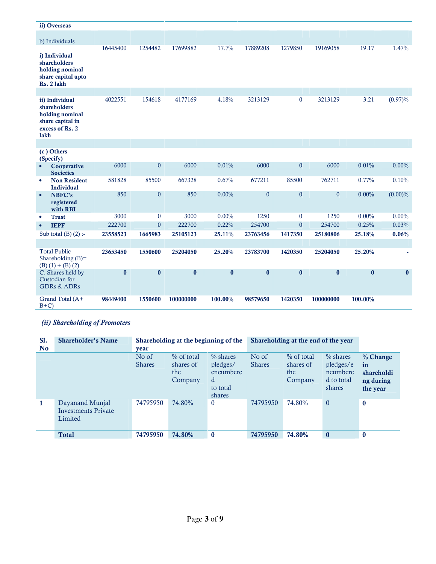|           | ii) Overseas                                                                             |          |                  |           |          |              |              |                  |          |          |
|-----------|------------------------------------------------------------------------------------------|----------|------------------|-----------|----------|--------------|--------------|------------------|----------|----------|
|           | b) Individuals                                                                           |          |                  |           |          |              |              |                  |          |          |
|           | i) Individual<br>shareholders<br>holding nominal<br>share capital upto<br>Rs. 2 lakh     | 16445400 | 1254482          | 17699882  | 17.7%    | 17889208     | 1279850      | 19169058         | 19.17    | 1.47%    |
|           |                                                                                          |          |                  |           |          |              |              |                  |          |          |
| lakh      | ii) Individual<br>shareholders<br>holding nominal<br>share capital in<br>excess of Rs. 2 | 4022551  | 154618           | 4177169   | 4.18%    | 3213129      | $\bf{0}$     | 3213129          | 3.21     | (0.97)%  |
|           |                                                                                          |          |                  |           |          |              |              |                  |          |          |
|           | (c) Others<br>(Specify)                                                                  |          |                  |           |          |              |              |                  |          |          |
|           | Cooperative<br><b>Societies</b>                                                          | 6000     | $\mathbf{0}$     | 6000      | 0.01%    | 6000         | $\mathbf{0}$ | 6000             | 0.01%    | $0.00\%$ |
| $\bullet$ | <b>Non Resident</b><br><b>Individual</b>                                                 | 581828   | 85500            | 667328    | 0.67%    | 677211       | 85500        | 762711           | 0.77%    | 0.10%    |
| $\bullet$ | NBFC's<br>registered<br>with RBI                                                         | 850      | $\boldsymbol{0}$ | 850       | $0.00\%$ | $\mathbf{0}$ | $\mathbf{0}$ | $\boldsymbol{0}$ | $0.00\%$ | (0.00)%  |
| $\bullet$ | <b>Trust</b>                                                                             | 3000     | $\mathbf{0}$     | 3000      | $0.00\%$ | 1250         | $\mathbf{0}$ | 1250             | $0.00\%$ | $0.00\%$ |
| $\bullet$ | <b>IEPF</b>                                                                              | 222700   | $\mathbf{0}$     | 222700    | 0.22%    | 254700       | $\mathbf{0}$ | 254700           | 0.25%    | 0.03%    |
|           | Sub total $(B)$ $(2)$ :-                                                                 | 23558523 | 1665983          | 25105123  | 25.11%   | 23763456     | 1417350      | 25180806         | 25.18%   | 0.06%    |
|           |                                                                                          |          |                  |           |          |              |              |                  |          |          |
|           | <b>Total Public</b><br>Shareholding $(B)=$<br>$(B) (1) + (B) (2)$                        | 23653450 | 1550600          | 25204050  | 25.20%   | 23783700     | 1420350      | 25204050         | 25.20%   |          |
|           | C. Shares held by<br>Custodian for<br><b>GDRs &amp; ADRs</b>                             | $\bf{0}$ | $\bf{0}$         | $\bf{0}$  | $\bf{0}$ | $\bf{0}$     | $\bf{0}$     | $\bf{0}$         | $\bf{0}$ | $\bf{0}$ |
| $B+C$     | Grand Total (A+                                                                          | 98449400 | 1550600          | 100000000 | 100.00%  | 98579650     | 1420350      | 100000000        | 100.00%  |          |

# (ii) Shareholding of Promoters

| <b>S1.</b><br>N <sub>o</sub> | <b>Shareholder's Name</b>                                | year                   | Shareholding at the beginning of the        |                                                                |                        | Shareholding at the end of the year         |                                                              |                                                       |  |
|------------------------------|----------------------------------------------------------|------------------------|---------------------------------------------|----------------------------------------------------------------|------------------------|---------------------------------------------|--------------------------------------------------------------|-------------------------------------------------------|--|
|                              |                                                          | No of<br><b>Shares</b> | $%$ of total<br>shares of<br>the<br>Company | $%$ shares<br>pledges/<br>encumbere<br>d<br>to total<br>shares | No of<br><b>Shares</b> | $%$ of total<br>shares of<br>the<br>Company | $\%$ shares<br>pledges/e<br>ncumbere<br>d to total<br>shares | % Change<br>in<br>shareholdi<br>ng during<br>the year |  |
| $\mathbf{1}$                 | Dayanand Munjal<br><b>Investments Private</b><br>Limited | 74795950               | 74.80%                                      | $\mathbf{0}$                                                   | 74795950               | 74.80%                                      | $\theta$                                                     | $\bf{0}$                                              |  |
|                              | <b>Total</b>                                             | 74795950               | 74.80%                                      | $\bf{0}$                                                       | 74795950               | 74.80%                                      | $\bf{0}$                                                     | $\mathbf{0}$                                          |  |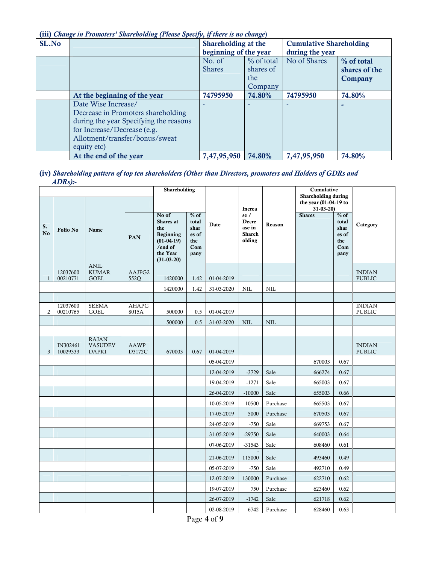(iii) Change in Promoters' Shareholding (Please Specify, if there is no change)

| SL.No |                                                                                                                                                                                     | Shareholding at the<br>beginning of the year |                                           | <b>Cumulative Shareholding</b><br>during the year |                                        |
|-------|-------------------------------------------------------------------------------------------------------------------------------------------------------------------------------------|----------------------------------------------|-------------------------------------------|---------------------------------------------------|----------------------------------------|
|       |                                                                                                                                                                                     | No. of<br><b>Shares</b>                      | % of total<br>shares of<br>the<br>Company | No of Shares                                      | % of total<br>shares of the<br>Company |
|       | At the beginning of the year                                                                                                                                                        | 74795950                                     | 74.80%                                    | 74795950                                          | 74.80%                                 |
|       | Date Wise Increase/<br>Decrease in Promoters shareholding<br>during the year Specifying the reasons<br>for Increase/Decrease (e.g.<br>Allotment/transfer/bonus/sweat<br>equity etc) |                                              |                                           |                                                   | -                                      |
|       | At the end of the year                                                                                                                                                              | 7,47,95,950                                  | 74.80%                                    | 7,47,95,950                                       | 74.80%                                 |

#### (iv) Shareholding pattern of top ten shareholders (Other than Directors, promoters and Holders of GDRs and  $ADRs$ ):-

|                      |                      |                                                |                       | Shareholding                                                                                  |                                                        |            |                                                   |            | Cumulative<br>Shareholding during       |                                                        |                                |
|----------------------|----------------------|------------------------------------------------|-----------------------|-----------------------------------------------------------------------------------------------|--------------------------------------------------------|------------|---------------------------------------------------|------------|-----------------------------------------|--------------------------------------------------------|--------------------------------|
|                      |                      |                                                |                       |                                                                                               |                                                        |            | Increa                                            |            | the year (01-04-19 to<br>$31 - 03 - 20$ |                                                        |                                |
| S.<br>N <sub>o</sub> | <b>Folio No</b>      | Name                                           | PAN                   | No of<br>Shares at<br>the<br>Beginning<br>$(01-04-19)$<br>/end of<br>the Year<br>$(31-03-20)$ | $%$ of<br>total<br>shar<br>es of<br>the<br>Com<br>pany | Date       | se/<br>Decre<br>ase in<br><b>Shareh</b><br>olding | Reason     | <b>Shares</b>                           | $%$ of<br>total<br>shar<br>es of<br>the<br>Com<br>pany | Category                       |
| $\mathbf{1}$         | 12037600<br>00210771 | <b>ANIL</b><br><b>KUMAR</b><br><b>GOEL</b>     | AAJPG2<br>552Q        | 1420000                                                                                       | 1.42                                                   | 01-04-2019 |                                                   |            |                                         |                                                        | <b>INDIAN</b><br>PUBLIC        |
|                      |                      |                                                |                       | 1420000                                                                                       | 1.42                                                   | 31-03-2020 | NIL                                               | <b>NIL</b> |                                         |                                                        |                                |
|                      |                      |                                                |                       |                                                                                               |                                                        |            |                                                   |            |                                         |                                                        |                                |
| 2                    | 12037600<br>00210765 | <b>SEEMA</b><br><b>GOEL</b>                    | <b>AHAPG</b><br>8015A | 500000                                                                                        | 0.5                                                    | 01-04-2019 |                                                   |            |                                         |                                                        | <b>INDIAN</b><br>PUBLIC        |
|                      |                      |                                                |                       | 500000                                                                                        | 0.5                                                    | 31-03-2020 | $\textsc{nil}$                                    | NIL        |                                         |                                                        |                                |
|                      |                      |                                                |                       |                                                                                               |                                                        |            |                                                   |            |                                         |                                                        |                                |
| 3                    | IN302461<br>10029333 | <b>RAJAN</b><br><b>VASUDEV</b><br><b>DAPKI</b> | AAWP<br>D3172C        | 670003                                                                                        | 0.67                                                   | 01-04-2019 |                                                   |            |                                         |                                                        | <b>INDIAN</b><br><b>PUBLIC</b> |
|                      |                      |                                                |                       |                                                                                               |                                                        | 05-04-2019 |                                                   |            | 670003                                  | 0.67                                                   |                                |
|                      |                      |                                                |                       |                                                                                               |                                                        | 12-04-2019 | $-3729$                                           | Sale       | 666274                                  | 0.67                                                   |                                |
|                      |                      |                                                |                       |                                                                                               |                                                        | 19-04-2019 | $-1271$                                           | Sale       | 665003                                  | 0.67                                                   |                                |
|                      |                      |                                                |                       |                                                                                               |                                                        | 26-04-2019 | $-10000$                                          | Sale       | 655003                                  | 0.66                                                   |                                |
|                      |                      |                                                |                       |                                                                                               |                                                        | 10-05-2019 | 10500                                             | Purchase   | 665503                                  | 0.67                                                   |                                |
|                      |                      |                                                |                       |                                                                                               |                                                        | 17-05-2019 | 5000                                              | Purchase   | 670503                                  | 0.67                                                   |                                |
|                      |                      |                                                |                       |                                                                                               |                                                        | 24-05-2019 | $-750$                                            | Sale       | 669753                                  | 0.67                                                   |                                |
|                      |                      |                                                |                       |                                                                                               |                                                        | 31-05-2019 | $-29750$                                          | Sale       | 640003                                  | 0.64                                                   |                                |
|                      |                      |                                                |                       |                                                                                               |                                                        | 07-06-2019 | $-31543$                                          | Sale       | 608460                                  | 0.61                                                   |                                |
|                      |                      |                                                |                       |                                                                                               |                                                        | 21-06-2019 | 115000                                            | Sale       | 493460                                  | 0.49                                                   |                                |
|                      |                      |                                                |                       |                                                                                               |                                                        | 05-07-2019 | $-750$                                            | Sale       | 492710                                  | 0.49                                                   |                                |
|                      |                      |                                                |                       |                                                                                               |                                                        | 12-07-2019 | 130000                                            | Purchase   | 622710                                  | 0.62                                                   |                                |
|                      |                      |                                                |                       |                                                                                               |                                                        | 19-07-2019 | 750                                               | Purchase   | 623460                                  | 0.62                                                   |                                |
|                      |                      |                                                |                       |                                                                                               |                                                        | 26-07-2019 | $-1742$                                           | Sale       | 621718                                  | 0.62                                                   |                                |
|                      |                      |                                                |                       |                                                                                               |                                                        | 02-08-2019 | 6742                                              | Purchase   | 628460                                  | 0.63                                                   |                                |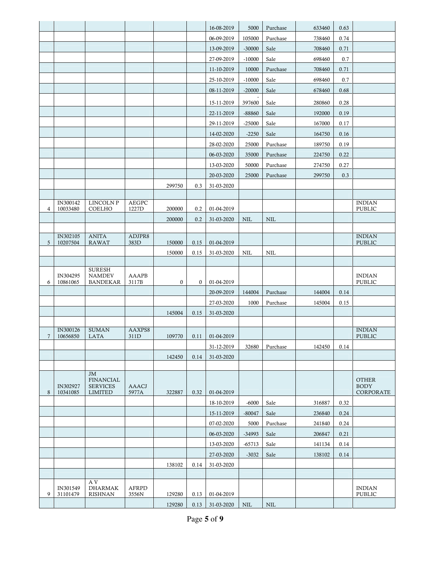|   |          |                                     |              |          |          | 16-08-2019               | 5000       | Purchase   | 633460 | 0.63 |                             |
|---|----------|-------------------------------------|--------------|----------|----------|--------------------------|------------|------------|--------|------|-----------------------------|
|   |          |                                     |              |          |          | 06-09-2019               | 105000     | Purchase   | 738460 | 0.74 |                             |
|   |          |                                     |              |          |          | 13-09-2019               | $-30000$   | Sale       | 708460 | 0.71 |                             |
|   |          |                                     |              |          |          | 27-09-2019               | $-10000$   | Sale       | 698460 | 0.7  |                             |
|   |          |                                     |              |          |          | 11-10-2019               | 10000      | Purchase   | 708460 | 0.71 |                             |
|   |          |                                     |              |          |          | 25-10-2019               | $-10000$   | Sale       | 698460 | 0.7  |                             |
|   |          |                                     |              |          |          | 08-11-2019               | $-20000$   | Sale       | 678460 | 0.68 |                             |
|   |          |                                     |              |          |          | 15-11-2019               | 397600     | Sale       | 280860 | 0.28 |                             |
|   |          |                                     |              |          |          | 22-11-2019               | -88860     | Sale       | 192000 | 0.19 |                             |
|   |          |                                     |              |          |          | 29-11-2019               | $-25000$   | Sale       | 167000 | 0.17 |                             |
|   |          |                                     |              |          |          | 14-02-2020               | $-2250$    | Sale       | 164750 | 0.16 |                             |
|   |          |                                     |              |          |          | 28-02-2020               | 25000      | Purchase   | 189750 | 0.19 |                             |
|   |          |                                     |              |          |          | 06-03-2020               | 35000      | Purchase   | 224750 | 0.22 |                             |
|   |          |                                     |              |          |          | 13-03-2020               | 50000      | Purchase   | 274750 | 0.27 |                             |
|   |          |                                     |              |          |          | 20-03-2020               | 25000      | Purchase   | 299750 | 0.3  |                             |
|   |          |                                     |              | 299750   | 0.3      | 31-03-2020               |            |            |        |      |                             |
|   |          |                                     |              |          |          |                          |            |            |        |      |                             |
|   | IN300142 | <b>LINCOLN P</b>                    | <b>AEGPC</b> |          |          |                          |            |            |        |      | <b>INDIAN</b>               |
| 4 | 10033480 | COELHO                              | 1227D        | 200000   | 0.2      | 01-04-2019               |            |            |        |      | PUBLIC                      |
|   |          |                                     |              | 200000   | 0.2      | 31-03-2020               | <b>NIL</b> | <b>NIL</b> |        |      |                             |
|   | IN302105 | <b>ANITA</b>                        | ADJPR8       |          |          |                          |            |            |        |      | <b>INDIAN</b>               |
| 5 | 10207504 | <b>RAWAT</b>                        | 383D         | 150000   | 0.15     | 01-04-2019               |            |            |        |      | PUBLIC                      |
|   |          |                                     |              | 150000   | 0.15     | 31-03-2020               | NIL        | NIL        |        |      |                             |
|   |          | <b>SURESH</b>                       |              |          |          |                          |            |            |        |      |                             |
|   | IN304295 | <b>NAMDEV</b>                       | <b>AAAPB</b> |          |          |                          |            |            |        |      | <b>INDIAN</b>               |
| 6 | 10861065 | <b>BANDEKAR</b>                     | 3117B        | $\bf{0}$ | $\bf{0}$ | 01-04-2019<br>20-09-2019 |            |            |        |      | PUBLIC                      |
|   |          |                                     |              |          |          |                          | 144004     | Purchase   | 144004 | 0.14 |                             |
|   |          |                                     |              |          |          | 27-03-2020               | 1000       | Purchase   | 145004 | 0.15 |                             |
|   |          |                                     |              | 145004   | 0.15     | 31-03-2020               |            |            |        |      |                             |
|   | IN300126 | <b>SUMAN</b>                        | AAXPS8       |          |          |                          |            |            |        |      | <b>INDIAN</b>               |
| 7 | 10656850 | <b>LATA</b>                         | 311D         | 109770   | 0.11     | 01-04-2019               |            |            |        |      | PUBLIC                      |
|   |          |                                     |              |          |          | 31-12-2019               | 32680      | Purchase   | 142450 | 0.14 |                             |
|   |          |                                     |              | 142450   | 0.14     | 31-03-2020               |            |            |        |      |                             |
|   |          | JM                                  |              |          |          |                          |            |            |        |      |                             |
|   | IN302927 | <b>FINANCIAL</b><br><b>SERVICES</b> | <b>AAACJ</b> |          |          |                          |            |            |        |      | <b>OTHER</b><br><b>BODY</b> |
| 8 | 10341085 | <b>LIMITED</b>                      | 5977A        | 322887   | 0.32     | 01-04-2019               |            |            |        |      | CORPORATE                   |
|   |          |                                     |              |          |          | 18-10-2019               | $-6000$    | Sale       | 316887 | 0.32 |                             |
|   |          |                                     |              |          |          | 15-11-2019               | $-80047$   | Sale       | 236840 | 0.24 |                             |
|   |          |                                     |              |          |          | 07-02-2020               | 5000       | Purchase   | 241840 | 0.24 |                             |
|   |          |                                     |              |          |          | 06-03-2020               | -34993     | Sale       | 206847 | 0.21 |                             |
|   |          |                                     |              |          |          | 13-03-2020               | -65713     | Sale       | 141134 | 0.14 |                             |
|   |          |                                     |              |          |          | 27-03-2020               | $-3032$    | Sale       | 138102 | 0.14 |                             |
|   |          |                                     |              | 138102   | 0.14     | 31-03-2020               |            |            |        |      |                             |
|   |          |                                     |              |          |          |                          |            |            |        |      |                             |
|   | IN301549 | A V<br><b>DHARMAK</b>               | <b>AFRPD</b> |          |          |                          |            |            |        |      | <b>INDIAN</b>               |
| 9 | 31101479 | <b>RISHNAN</b>                      | 3556N        | 129280   | 0.13     | 01-04-2019               |            |            |        |      | PUBLIC                      |
|   |          |                                     |              | 129280   | 0.13     | 31-03-2020               | <b>NIL</b> | <b>NIL</b> |        |      |                             |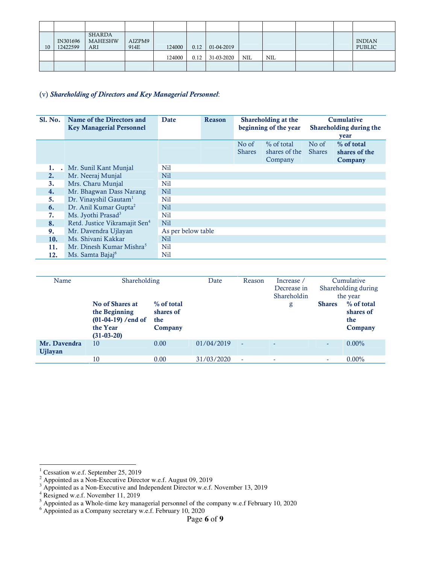| 10 | IN301696<br>12422599 | SHARDA<br><b>MAHESHW</b><br>ARI | AIZPM9<br>914E | 124000 | 0.12 | 01-04-2019        |     |     |  | <b>INDIAN</b><br><b>PUBLIC</b> |
|----|----------------------|---------------------------------|----------------|--------|------|-------------------|-----|-----|--|--------------------------------|
|    |                      |                                 |                | 124000 |      | $0.12$ 31-03-2020 | NIL | NIL |  |                                |
|    |                      |                                 |                |        |      |                   |     |     |  |                                |

## (v) Shareholding of Directors and Key Managerial Personnel:

| Sl. No.            | Name of the Directors and<br><b>Key Managerial Personnel</b> | <b>Date</b>        | Reason |                        | Shareholding at the<br>beginning of the year |                        | Cumulative<br>Shareholding during the          |
|--------------------|--------------------------------------------------------------|--------------------|--------|------------------------|----------------------------------------------|------------------------|------------------------------------------------|
|                    |                                                              |                    |        | No of<br><b>Shares</b> | $\%$ of total<br>shares of the<br>Company    | No of<br><b>Shares</b> | year<br>% of total<br>shares of the<br>Company |
| 1.<br>$\mathbf{r}$ | Mr. Sunil Kant Munjal                                        | Nil                |        |                        |                                              |                        |                                                |
| 2.                 | Mr. Neeraj Munjal                                            | Ni1                |        |                        |                                              |                        |                                                |
| 3.                 | Mrs. Charu Munjal                                            | Nil                |        |                        |                                              |                        |                                                |
| 4.                 | Mr. Bhagwan Dass Narang                                      | Nil                |        |                        |                                              |                        |                                                |
| 5.                 | Dr. Vinayshil Gautam <sup>1</sup>                            | Nil                |        |                        |                                              |                        |                                                |
| 6.                 | Dr. Anil Kumar Gupta <sup>2</sup>                            | N <sub>il</sub>    |        |                        |                                              |                        |                                                |
| 7.                 | Ms. Jyothi Prasad <sup>3</sup>                               | Nil                |        |                        |                                              |                        |                                                |
| 8.                 | Retd. Justice Vikramajit Sen <sup>4</sup>                    | Nil                |        |                        |                                              |                        |                                                |
| 9.                 | Mr. Davendra Ujlayan                                         | As per below table |        |                        |                                              |                        |                                                |
| 10.                | Ms. Shivani Kakkar                                           | Nil                |        |                        |                                              |                        |                                                |
| 11.                | Mr. Dinesh Kumar Mishra <sup>5</sup>                         | Nil                |        |                        |                                              |                        |                                                |
| 12.                | Ms. Samta Bajaj <sup>6</sup>                                 | Nil                |        |                        |                                              |                        |                                                |

| Name                           | Shareholding<br>No of Shares at<br>the Beginning<br>$(01-04-19)$ /end of<br>the Year<br>$(31-03-20)$ | % of total<br>shares of<br>the<br>Company | Date       | Reason | Increase /<br>Decrease in<br>Shareholdin<br>g | <b>Shares</b>            | Cumulative<br>Shareholding during<br>the year<br>% of total<br>shares of<br>the<br>Company |
|--------------------------------|------------------------------------------------------------------------------------------------------|-------------------------------------------|------------|--------|-----------------------------------------------|--------------------------|--------------------------------------------------------------------------------------------|
| Mr. Davendra<br><b>Ujlayan</b> | 10                                                                                                   | 0.00                                      | 01/04/2019 | ٠      | ٠                                             | $\overline{\phantom{a}}$ | $0.00\%$                                                                                   |
|                                | 10                                                                                                   | 0.00                                      | 31/03/2020 | ٠      | ٠                                             | ۰                        | $0.00\%$                                                                                   |

<sup>&</sup>lt;sup>1</sup> Cessation w.e.f. September 25, 2019<br>
<sup>2</sup> Appointed as a Non-Executive Director w.e.f. August 09, 2019<br>
<sup>3</sup> Appointed as a Non-Executive and Independent Director w.e.f. November 13, 2019

<sup>&</sup>lt;sup>4</sup> Resigned w.e.f. November 11, 2019<br>
<sup>5</sup> Appointed as a Whole-time key managerial personnel of the company w.e.f February 10, 2020<br>
<sup>6</sup> Appointed as a Company secretary w.e.f. February 10, 2020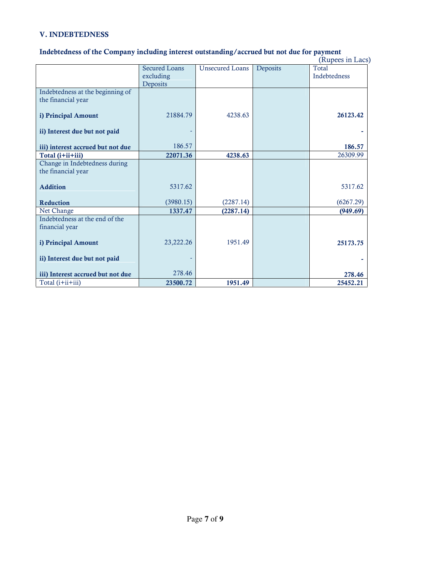## V. INDEBTEDNESS

#### Indebtedness of the Company including interest outstanding/accrued but not due for payment

|                                   |                      |                        |          | (Rupees in Lacs) |
|-----------------------------------|----------------------|------------------------|----------|------------------|
|                                   | <b>Secured Loans</b> | <b>Unsecured Loans</b> | Deposits | <b>Total</b>     |
|                                   | excluding            |                        |          | Indebtedness     |
|                                   | Deposits             |                        |          |                  |
| Indebtedness at the beginning of  |                      |                        |          |                  |
| the financial year                |                      |                        |          |                  |
|                                   |                      |                        |          |                  |
| i) Principal Amount               | 21884.79             | 4238.63                |          | 26123.42         |
|                                   |                      |                        |          |                  |
| ii) Interest due but not paid     |                      |                        |          |                  |
|                                   |                      |                        |          |                  |
| iii) interest accrued but not due | 186.57               |                        |          | 186.57           |
| Total (i+ii+iii)                  | 22071.36             | 4238.63                |          | 26309.99         |
| Change in Indebtedness during     |                      |                        |          |                  |
| the financial year                |                      |                        |          |                  |
|                                   |                      |                        |          |                  |
| <b>Addition</b>                   | 5317.62              |                        |          | 5317.62          |
| Reduction                         | (3980.15)            | (2287.14)              |          | (6267.29)        |
| Net Change                        | 1337.47              | (2287.14)              |          | (949.69)         |
| Indebtedness at the end of the    |                      |                        |          |                  |
| financial year                    |                      |                        |          |                  |
|                                   |                      |                        |          |                  |
| i) Principal Amount               | 23,222.26            | 1951.49                |          | 25173.75         |
|                                   |                      |                        |          |                  |
| ii) Interest due but not paid     |                      |                        |          |                  |
|                                   |                      |                        |          |                  |
| iii) Interest accrued but not due | 278.46               |                        |          | 278.46           |
| Total (i+ii+iii)                  | 23500.72             | 1951.49                |          | 25452.21         |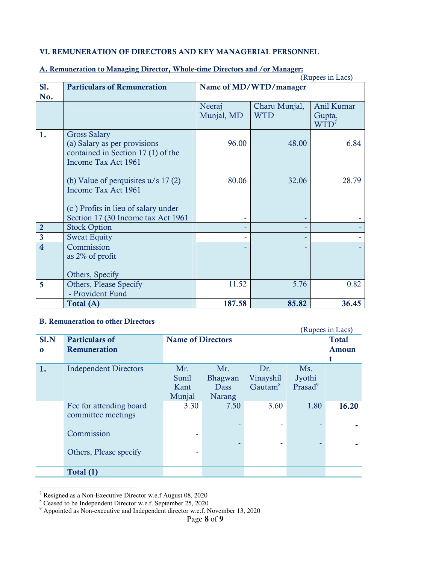## VI. REMUNERATION OF DIRECTORS AND KEY MANAGERIAL PERSONNEL

|                         |                                                              | (Rupees in Lacs)       |               |            |  |
|-------------------------|--------------------------------------------------------------|------------------------|---------------|------------|--|
| SI.                     | <b>Particulars of Remuneration</b>                           | Name of MD/WTD/manager |               |            |  |
| No.                     |                                                              |                        |               |            |  |
|                         |                                                              | Neeraj                 | Charu Munjal, | Anil Kumar |  |
|                         |                                                              | Munjal, MD             | <b>WTD</b>    | Gupta,     |  |
|                         |                                                              |                        |               | $WTD^7$    |  |
| 1.                      | <b>Gross Salary</b>                                          |                        |               |            |  |
|                         | (a) Salary as per provisions                                 | 96.00                  | 48.00         | 6.84       |  |
|                         | contained in Section 17 (1) of the                           |                        |               |            |  |
|                         | Income Tax Act 1961                                          |                        |               |            |  |
|                         |                                                              | 80.06                  | 32.06         | 28.79      |  |
|                         | (b) Value of perquisites $u/s$ 17 (2)<br>Income Tax Act 1961 |                        |               |            |  |
|                         |                                                              |                        |               |            |  |
|                         | (c) Profits in lieu of salary under                          |                        |               |            |  |
|                         | Section 17 (30 Income tax Act 1961                           |                        |               |            |  |
| $\overline{2}$          | <b>Stock Option</b>                                          |                        |               |            |  |
| $\mathbf{3}$            | <b>Sweat Equity</b>                                          |                        |               |            |  |
| $\overline{\mathbf{4}}$ | Commission                                                   |                        |               |            |  |
|                         | as $2\%$ of profit                                           |                        |               |            |  |
|                         |                                                              |                        |               |            |  |
|                         | Others, Specify                                              |                        |               |            |  |
| 5                       | Others, Please Specify                                       | 11.52                  | 5.76          | 0.82       |  |
|                         | - Provident Fund                                             |                        |               |            |  |
|                         | Total (A)                                                    | 187.58                 | 85.82         | 36.45      |  |

#### A. Remuneration to Managing Director, Whole-time Directors and /or Manager:

## B. Remuneration to other Directors

| D. Remuneration to other Directors<br>(Rupees in Lacs) |                              |                          |         |                     |                     |       |  |
|--------------------------------------------------------|------------------------------|--------------------------|---------|---------------------|---------------------|-------|--|
| SI.N                                                   | <b>Particulars of</b>        | <b>Name of Directors</b> |         |                     | <b>Total</b>        |       |  |
| $\bf{0}$                                               | Remuneration                 |                          |         |                     | <b>Amoun</b>        |       |  |
|                                                        |                              |                          |         |                     |                     | t     |  |
| 1.                                                     | <b>Independent Directors</b> | Mr.                      | Mr.     | Dr.                 | Ms.                 |       |  |
|                                                        |                              | Sunil                    | Bhagwan | Vinayshil           | Jyothi              |       |  |
|                                                        |                              | Kant                     | Dass    | Gautam <sup>8</sup> | Prasad <sup>9</sup> |       |  |
|                                                        |                              | Munjal                   | Narang  |                     |                     |       |  |
|                                                        | Fee for attending board      | 3.30                     | 7.50    | 3.60                | 1.80                | 16.20 |  |
|                                                        | committee meetings           |                          |         |                     |                     |       |  |
|                                                        |                              |                          |         |                     |                     |       |  |
|                                                        | Commission                   |                          |         |                     |                     |       |  |
|                                                        |                              |                          |         |                     |                     |       |  |
|                                                        | Others, Please specify       |                          |         |                     |                     |       |  |
|                                                        |                              |                          |         |                     |                     |       |  |
|                                                        | Total (1)                    |                          |         |                     |                     |       |  |

<sup>&</sup>lt;sup>7</sup> Resigned as a Non-Executive Director w.e.f August 08, 2020<br><sup>8</sup> Ceased to be Independent Director w.e.f. September 25, 2020<br><sup>9</sup> Appointed as Non-executive and Independent director w.e.f. November 13, 2020